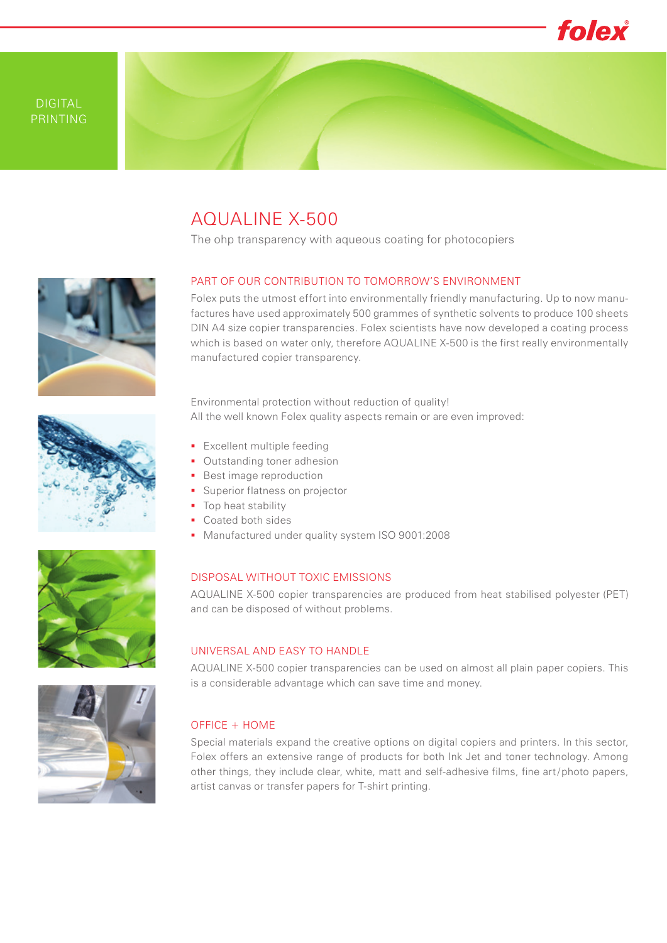

# AQUALINE X-500

The ohp transparency with aqueous coating for photocopiers

## PART OF OUR CONTRIBUTION TO TOMORROW'S ENVIRONMENT

Folex puts the utmost effort into environmentally friendly manufacturing. Up to now manufactures have used approximately 500 grammes of synthetic solvents to produce 100 sheets DIN A4 size copier transparencies. Folex scientists have now developed a coating process which is based on water only, therefore AQUALINE X-500 is the first really environmentally manufactured copier transparency.





Environmental protection without reduction of quality! All the well known Folex quality aspects remain or are even improved:

- **Excellent multiple feeding**
- **Outstanding toner adhesion**
- **Best image reproduction**
- **Superior flatness on projector**
- Top heat stability
- **Coated both sides**
- **Manufactured under quality system ISO 9001:2008**

## DISPOSAL WITHOUT TOXIC EMISSIONS

AQUALINE X-500 copier transparencies are produced from heat stabilised polyester (PET) and can be disposed of without problems.

#### UNIVERSAL AND EASY TO HANDLE

AQUALINE X-500 copier transparencies can be used on almost all plain paper copiers. This is a considerable advantage which can save time and money.

## OFFICE + HOME

Special materials expand the creative options on digital copiers and printers. In this sector, Folex offers an extensive range of products for both Ink Jet and toner technology. Among other things, they include clear, white, matt and self-adhesive films, fine art / photo papers, artist canvas or transfer papers for T-shirt printing.